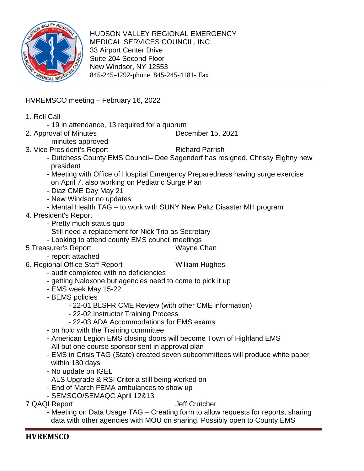

HUDSON VALLEY REGIONAL EMERGENCY MEDICAL SERVICES COUNCIL, INC. 33 Airport Center Drive Suite 204 Second Floor New Windsor, NY 12553 845-245-4292-phone 845-245-4181- Fax

HVREMSCO meeting – February 16, 2022

- 1. Roll Call
	- 19 in attendance, 13 required for a quorum
- 2. Approval of Minutes December 15, 2021
	- minutes approved
- 3. Vice President's Report Richard Parrish
	- Dutchess County EMS Council– Dee Sagendorf has resigned, Chrissy Eighny new president
	- Meeting with Office of Hospital Emergency Preparedness having surge exercise on April 7, also working on Pediatric Surge Plan
	- Diaz CME Day May 21
	- New Windsor no updates
	- Mental Health TAG to work with SUNY New Paltz Disaster MH program
- 4. President's Report
	- Pretty much status quo
	- Still need a replacement for Nick Trio as Secretary
	- Looking to attend county EMS council meetings
- 5 Treasurer's Report Wayne Chan
	- report attached
- 6. Regional Office Staff Report William Hughes
	- audit completed with no deficiencies
	- getting Naloxone but agencies need to come to pick it up
	- EMS week May 15-22
	- BEMS policies
		- 22-01 BLSFR CME Review (with other CME information)
		- 22-02 Instructor Training Process
		- 22-03 ADA Accommodations for EMS exams
	- on hold with the Training committee
	- American Legion EMS closing doors will become Town of Highland EMS
	- All but one course sponsor sent in approval plan
	- EMS in Crisis TAG (State) created seven subcommittees will produce white paper within 180 days
	- No update on IGEL
	- ALS Upgrade & RSI Criteria still being worked on
	- End of March FEMA ambulances to show up
	- SEMSCO/SEMAQC April 12&13

#### 7 QAQI Report Jeff Crutcher

- Meeting on Data Usage TAG – Creating form to allow requests for reports, sharing data with other agencies with MOU on sharing. Possibly open to County EMS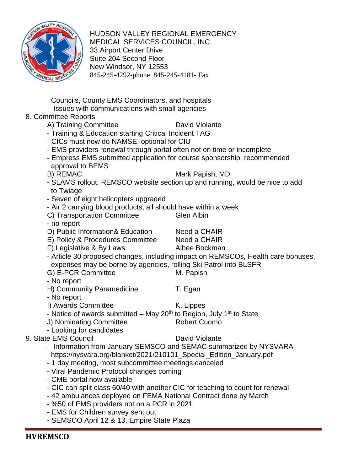

HUDSON VALLEY REGIONAL EMERGENCY MEDICAL SERVICES COUNCIL, INC. 33 Airport Center Drive Suite 204 Second Floor New Windsor, NY 12553 845-245-4292-phone 845-245-4181- Fax

 Councils, County EMS Coordinators, and hospitals - Issues with communications with small agencies

# 8. Committee Reports

- A) Training Committee David Violante
- Training & Education starting Critical Incident TAG
- CICs must now do NAMSE, optional for CIU
- EMS providers renewal through portal often not on time or incomplete
- Empress EMS submitted application for course sponsorship, recommended approval to BEMS
- 

### B) REMAC Mark Papish, MD

- SLAMS rollout, REMSCO website section up and running, would be nice to add to Twiage
- Seven of eight helicopters upgraded
- Air 2 carrying blood products, all should have within a week
- C) Transportation Committee Glen Albin
- no report
- D) Public Information& Education Need a CHAIR
- E) Policy & Procedures Committee Need a CHAIR
- F) Legislative & By Laws Albee Bockman
- Article 30 proposed changes, including impact on REMSCOs, Health care bonuses, expenses may be borne by agencies, rolling Ski Patrol into BLSFR
- G) E-PCR Committee M. Papish
- No report
- H) Community Paramedicine T. Egan
- No report
- I) Awards Committee K. Lippes
- Notice of awards submitted May 20<sup>th</sup> to Region, July 1<sup>st</sup> to State
- J) Nominating Committee Robert Cuomo
- Looking for candidates
- 9. State EMS Council **David Violante**

- Information from January SEMSCO and SEMAC summarized by NYSVARA https://nysvara.org/blanket/2021/210101\_Special\_Edition\_January.pdf
- 1 day meeting, most subcommittee meetings canceled
- Viral Pandemic Protocol changes coming
- CME portal now available
- CIC can split class 60/40 with another CIC for teaching to count for renewal
- 42 ambulances deployed on FEMA National Contract done by March
- %50 of EMS providers not on a PCR in 2021
- EMS for Children survey sent out
- SEMSCO April 12 & 13, Empire State Plaza
- -